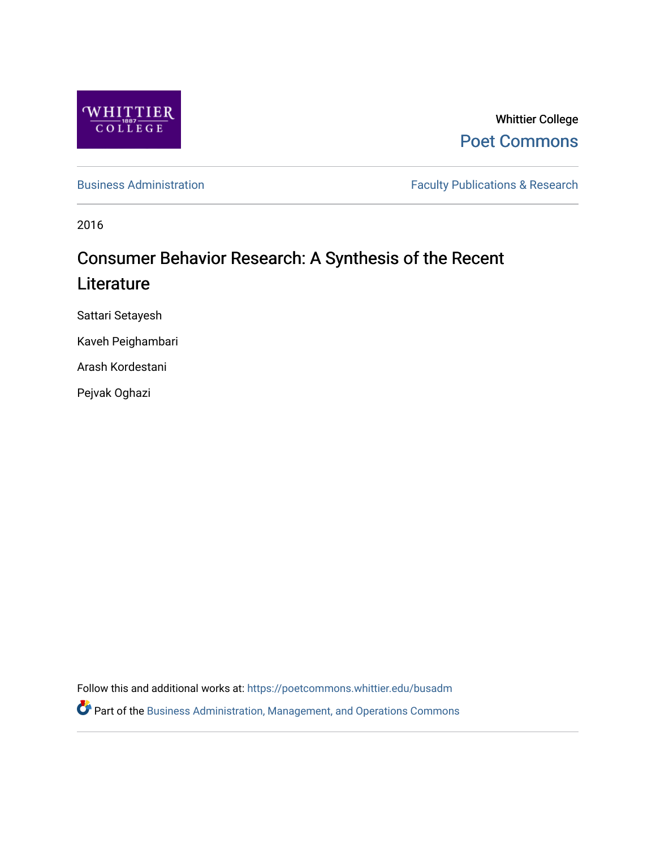

Whittier College [Poet Commons](https://poetcommons.whittier.edu/) 

[Business Administration](https://poetcommons.whittier.edu/busadm) **Faculty Publications & Research** 

2016

# Consumer Behavior Research: A Synthesis of the Recent **Literature**

Sattari Setayesh

Kaveh Peighambari

Arash Kordestani

Pejvak Oghazi

Follow this and additional works at: [https://poetcommons.whittier.edu/busadm](https://poetcommons.whittier.edu/busadm?utm_source=poetcommons.whittier.edu%2Fbusadm%2F1&utm_medium=PDF&utm_campaign=PDFCoverPages) Part of the [Business Administration, Management, and Operations Commons](http://network.bepress.com/hgg/discipline/623?utm_source=poetcommons.whittier.edu%2Fbusadm%2F1&utm_medium=PDF&utm_campaign=PDFCoverPages)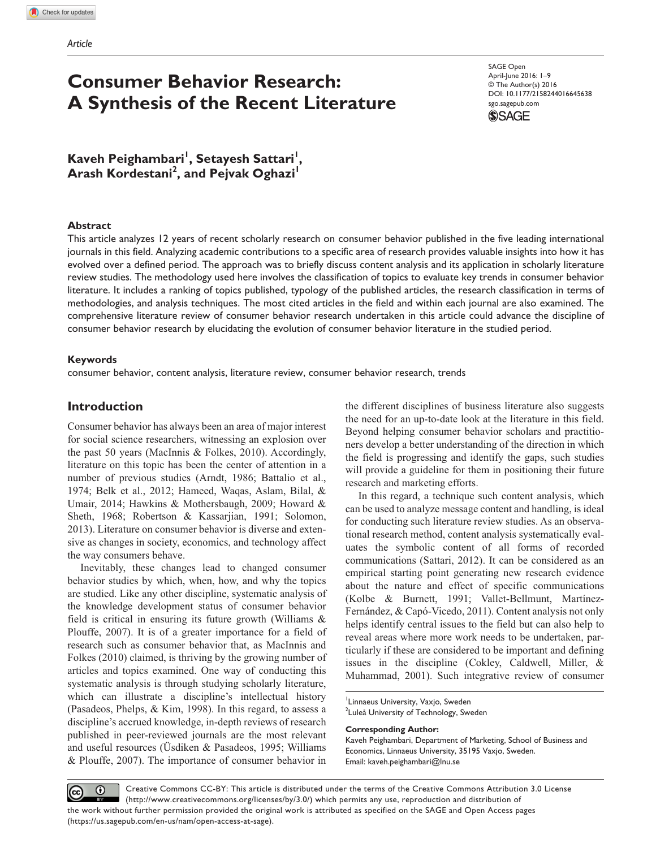*Article*

## **Consumer Behavior Research: A Synthesis of the Recent Literature**

SAGE Open April-June 2016: 1–9 © The Author(s) 2016 DOI: 10.1177/2158244016645638 sgo.sagepub.com



Kaveh Peighambari<sup>I</sup>, Setayesh Sattari<sup>I</sup>,  $\bm{\mathsf{Arash}}$  Kordestani<sup>2</sup>, and Pejvak Oghazi<sup>1</sup>

## **Abstract**

This article analyzes 12 years of recent scholarly research on consumer behavior published in the five leading international journals in this field. Analyzing academic contributions to a specific area of research provides valuable insights into how it has evolved over a defined period. The approach was to briefly discuss content analysis and its application in scholarly literature review studies. The methodology used here involves the classification of topics to evaluate key trends in consumer behavior literature. It includes a ranking of topics published, typology of the published articles, the research classification in terms of methodologies, and analysis techniques. The most cited articles in the field and within each journal are also examined. The comprehensive literature review of consumer behavior research undertaken in this article could advance the discipline of consumer behavior research by elucidating the evolution of consumer behavior literature in the studied period.

## **Keywords**

consumer behavior, content analysis, literature review, consumer behavior research, trends

## **Introduction**

Consumer behavior has always been an area of major interest for social science researchers, witnessing an explosion over the past 50 years (MacInnis & Folkes, 2010). Accordingly, literature on this topic has been the center of attention in a number of previous studies (Arndt, 1986; Battalio et al., 1974; Belk et al., 2012; Hameed, Waqas, Aslam, Bilal, & Umair, 2014; Hawkins & Mothersbaugh, 2009; Howard & Sheth, 1968; Robertson & Kassarjian, 1991; Solomon, 2013). Literature on consumer behavior is diverse and extensive as changes in society, economics, and technology affect the way consumers behave.

Inevitably, these changes lead to changed consumer behavior studies by which, when, how, and why the topics are studied. Like any other discipline, systematic analysis of the knowledge development status of consumer behavior field is critical in ensuring its future growth (Williams & Plouffe, 2007). It is of a greater importance for a field of research such as consumer behavior that, as MacInnis and Folkes (2010) claimed, is thriving by the growing number of articles and topics examined. One way of conducting this systematic analysis is through studying scholarly literature, which can illustrate a discipline's intellectual history (Pasadeos, Phelps, & Kim, 1998). In this regard, to assess a discipline's accrued knowledge, in-depth reviews of research published in peer-reviewed journals are the most relevant and useful resources (Üsdiken & Pasadeos, 1995; Williams & Plouffe, 2007). The importance of consumer behavior in

the different disciplines of business literature also suggests the need for an up-to-date look at the literature in this field. Beyond helping consumer behavior scholars and practitioners develop a better understanding of the direction in which the field is progressing and identify the gaps, such studies will provide a guideline for them in positioning their future research and marketing efforts.

In this regard, a technique such content analysis, which can be used to analyze message content and handling, is ideal for conducting such literature review studies. As an observational research method, content analysis systematically evaluates the symbolic content of all forms of recorded communications (Sattari, 2012). It can be considered as an empirical starting point generating new research evidence about the nature and effect of specific communications (Kolbe & Burnett, 1991; Vallet-Bellmunt, Martínez-Fernández, & Capó-Vicedo, 2011). Content analysis not only helps identify central issues to the field but can also help to reveal areas where more work needs to be undertaken, particularly if these are considered to be important and defining issues in the discipline (Cokley, Caldwell, Miller, & Muhammad, 2001). Such integrative review of consumer

#### **Corresponding Author:**

Kaveh Peighambari, Department of Marketing, School of Business and Economics, Linnaeus University, 35195 Vaxjo, Sweden. Email: [kaveh.peighambari@lnu.se](mailto:kaveh.peighambari@lnu.se)

Creative Commons CC-BY: This article is distributed under the terms of the Creative Commons Attribution 3.0 License  $\odot$  $(cc)$ (http://www.creativecommons.org/licenses/by/3.0/) which permits any use, reproduction and distribution of the work without further permission provided the original work is attributed as specified on the SAGE and Open Access pages (https://us.sagepub.com/en-us/nam/open-access-at-sage).

<sup>&</sup>lt;sup>1</sup> Linnaeus University, Vaxjo, Sweden <sup>2</sup>Luleå University of Technology, Sweden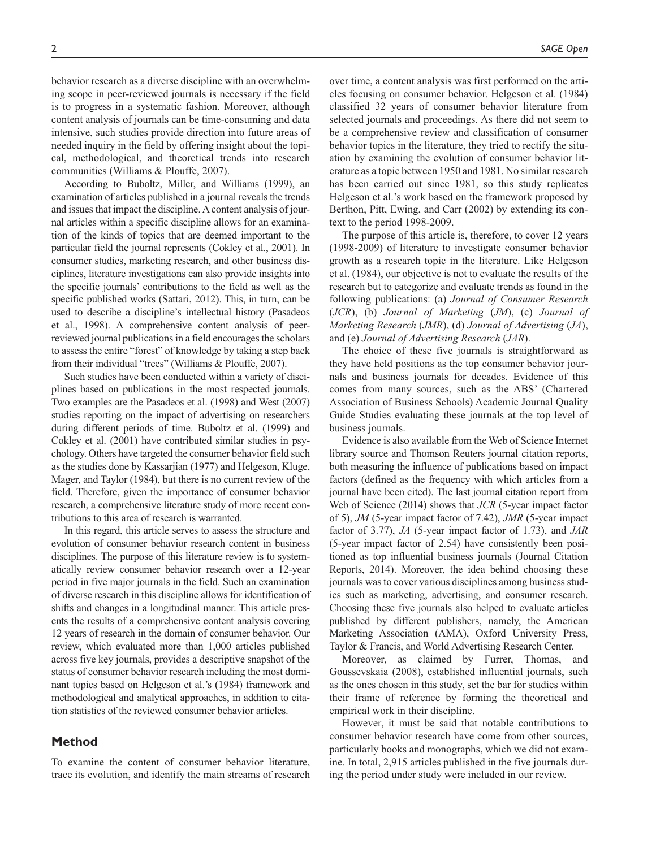behavior research as a diverse discipline with an overwhelming scope in peer-reviewed journals is necessary if the field is to progress in a systematic fashion. Moreover, although content analysis of journals can be time-consuming and data intensive, such studies provide direction into future areas of needed inquiry in the field by offering insight about the topical, methodological, and theoretical trends into research communities (Williams & Plouffe, 2007).

According to Buboltz, Miller, and Williams (1999), an examination of articles published in a journal reveals the trends and issues that impact the discipline. A content analysis of journal articles within a specific discipline allows for an examination of the kinds of topics that are deemed important to the particular field the journal represents (Cokley et al., 2001). In consumer studies, marketing research, and other business disciplines, literature investigations can also provide insights into the specific journals' contributions to the field as well as the specific published works (Sattari, 2012). This, in turn, can be used to describe a discipline's intellectual history (Pasadeos et al., 1998). A comprehensive content analysis of peerreviewed journal publications in a field encourages the scholars to assess the entire "forest" of knowledge by taking a step back from their individual "trees" (Williams & Plouffe, 2007).

Such studies have been conducted within a variety of disciplines based on publications in the most respected journals. Two examples are the Pasadeos et al. (1998) and West (2007) studies reporting on the impact of advertising on researchers during different periods of time. Buboltz et al. (1999) and Cokley et al. (2001) have contributed similar studies in psychology. Others have targeted the consumer behavior field such as the studies done by Kassarjian (1977) and Helgeson, Kluge, Mager, and Taylor (1984), but there is no current review of the field. Therefore, given the importance of consumer behavior research, a comprehensive literature study of more recent contributions to this area of research is warranted.

In this regard, this article serves to assess the structure and evolution of consumer behavior research content in business disciplines. The purpose of this literature review is to systematically review consumer behavior research over a 12-year period in five major journals in the field. Such an examination of diverse research in this discipline allows for identification of shifts and changes in a longitudinal manner. This article presents the results of a comprehensive content analysis covering 12 years of research in the domain of consumer behavior. Our review, which evaluated more than 1,000 articles published across five key journals, provides a descriptive snapshot of the status of consumer behavior research including the most dominant topics based on Helgeson et al.'s (1984) framework and methodological and analytical approaches, in addition to citation statistics of the reviewed consumer behavior articles.

## **Method**

To examine the content of consumer behavior literature, trace its evolution, and identify the main streams of research

over time, a content analysis was first performed on the articles focusing on consumer behavior. Helgeson et al. (1984) classified 32 years of consumer behavior literature from selected journals and proceedings. As there did not seem to be a comprehensive review and classification of consumer behavior topics in the literature, they tried to rectify the situation by examining the evolution of consumer behavior literature as a topic between 1950 and 1981. No similar research has been carried out since 1981, so this study replicates Helgeson et al.'s work based on the framework proposed by Berthon, Pitt, Ewing, and Carr (2002) by extending its context to the period 1998-2009.

The purpose of this article is, therefore, to cover 12 years (1998-2009) of literature to investigate consumer behavior growth as a research topic in the literature. Like Helgeson et al. (1984), our objective is not to evaluate the results of the research but to categorize and evaluate trends as found in the following publications: (a) *Journal of Consumer Research* (*JCR*), (b) *Journal of Marketing* (*JM*), (c) *Journal of Marketing Research* (*JMR*), (d) *Journal of Advertising* (*JA*), and (e) *Journal of Advertising Research* (*JAR*).

The choice of these five journals is straightforward as they have held positions as the top consumer behavior journals and business journals for decades. Evidence of this comes from many sources, such as the ABS' (Chartered Association of Business Schools) Academic Journal Quality Guide Studies evaluating these journals at the top level of business journals.

Evidence is also available from the Web of Science Internet library source and Thomson Reuters journal citation reports, both measuring the influence of publications based on impact factors (defined as the frequency with which articles from a journal have been cited). The last journal citation report from Web of Science (2014) shows that *JCR* (5-year impact factor of 5), *JM* (5-year impact factor of 7.42), *JMR* (5-year impact factor of 3.77), *JA* (5-year impact factor of 1.73), and *JAR* (5-year impact factor of 2.54) have consistently been positioned as top influential business journals (Journal Citation Reports, 2014). Moreover, the idea behind choosing these journals was to cover various disciplines among business studies such as marketing, advertising, and consumer research. Choosing these five journals also helped to evaluate articles published by different publishers, namely, the American Marketing Association (AMA), Oxford University Press, Taylor & Francis, and World Advertising Research Center.

Moreover, as claimed by Furrer, Thomas, and Goussevskaia (2008), established influential journals, such as the ones chosen in this study, set the bar for studies within their frame of reference by forming the theoretical and empirical work in their discipline.

However, it must be said that notable contributions to consumer behavior research have come from other sources, particularly books and monographs, which we did not examine. In total, 2,915 articles published in the five journals during the period under study were included in our review.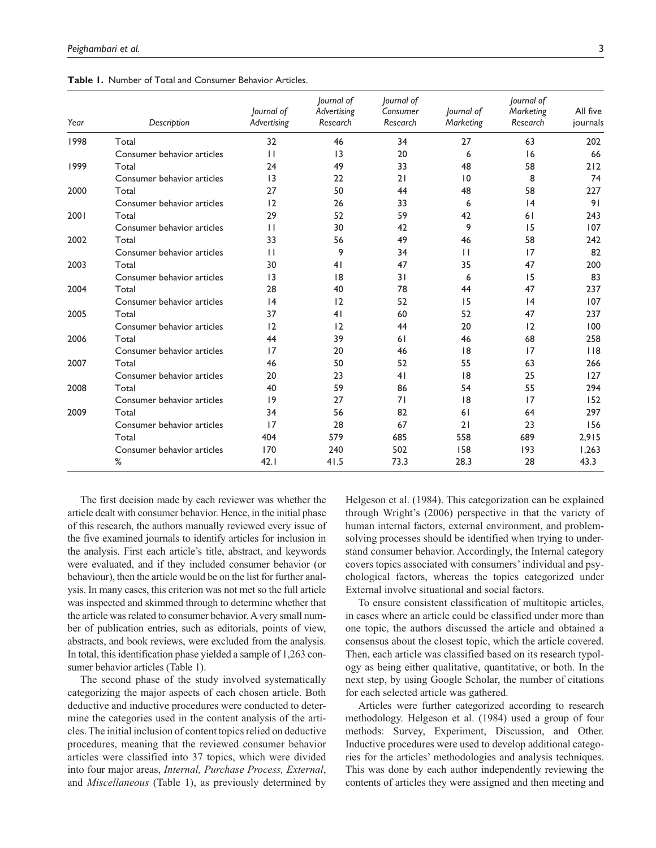| <b>Table 1.</b> Number of Total and Consumer Behavior Articles. |
|-----------------------------------------------------------------|
|-----------------------------------------------------------------|

| Year | Description                | Journal of<br>Advertising | Journal of<br>Advertising<br>Research | Journal of<br>Consumer<br>Research | lournal of<br>Marketing | Journal of<br>Marketing<br>Research | All five<br>journals |
|------|----------------------------|---------------------------|---------------------------------------|------------------------------------|-------------------------|-------------------------------------|----------------------|
| 1998 | Total                      | 32                        | 46                                    | 34                                 | 27                      | 63                                  | 202                  |
|      | Consumer behavior articles | $\mathbf{H}$              | $\overline{13}$                       | 20                                 | 6                       | 16                                  | 66                   |
| 1999 | Total                      | 24                        | 49                                    | 33                                 | 48                      | 58                                  | 212                  |
|      | Consumer behavior articles | 13                        | 22                                    | 21                                 | $\overline{10}$         | 8                                   | 74                   |
| 2000 | Total                      | 27                        | 50                                    | 44                                 | 48                      | 58                                  | 227                  |
|      | Consumer behavior articles | 12                        | 26                                    | 33                                 | 6                       | 4                                   | 91                   |
| 2001 | Total                      | 29                        | 52                                    | 59                                 | 42                      | 61                                  | 243                  |
|      | Consumer behavior articles | $\mathbf{H}$              | 30                                    | 42                                 | 9                       | 15                                  | 107                  |
| 2002 | Total                      | 33                        | 56                                    | 49                                 | 46                      | 58                                  | 242                  |
|      | Consumer behavior articles | $\mathbf{H}$              | 9                                     | 34                                 | $\perp$                 | 17                                  | 82                   |
| 2003 | Total                      | 30                        | 41                                    | 47                                 | 35                      | 47                                  | 200                  |
|      | Consumer behavior articles | 13                        | 8                                     | 31                                 | 6                       | 15                                  | 83                   |
| 2004 | Total                      | 28                        | 40                                    | 78                                 | 44                      | 47                                  | 237                  |
|      | Consumer behavior articles | 4                         | 12                                    | 52                                 | 15                      | 4                                   | 107                  |
| 2005 | Total                      | 37                        | 41                                    | 60                                 | 52                      | 47                                  | 237                  |
|      | Consumer behavior articles | 12                        | 12                                    | 44                                 | 20                      | 12                                  | 100                  |
| 2006 | Total                      | 44                        | 39                                    | 61                                 | 46                      | 68                                  | 258                  |
|      | Consumer behavior articles | 17                        | 20                                    | 46                                 | 18                      | 17                                  | 118                  |
| 2007 | Total                      | 46                        | 50                                    | 52                                 | 55                      | 63                                  | 266                  |
|      | Consumer behavior articles | 20                        | 23                                    | 41                                 | 18                      | 25                                  | 127                  |
| 2008 | Total                      | 40                        | 59                                    | 86                                 | 54                      | 55                                  | 294                  |
|      | Consumer behavior articles | 9                         | 27                                    | 71                                 | 18                      | 17                                  | 152                  |
| 2009 | Total                      | 34                        | 56                                    | 82                                 | 61                      | 64                                  | 297                  |
|      | Consumer behavior articles | 17                        | 28                                    | 67                                 | 21                      | 23                                  | 156                  |
|      | Total                      | 404                       | 579                                   | 685                                | 558                     | 689                                 | 2,915                |
|      | Consumer behavior articles | 170                       | 240                                   | 502                                | 158                     | 193                                 | 1,263                |
|      | %                          | 42.1                      | 41.5                                  | 73.3                               | 28.3                    | 28                                  | 43.3                 |

The first decision made by each reviewer was whether the article dealt with consumer behavior. Hence, in the initial phase of this research, the authors manually reviewed every issue of the five examined journals to identify articles for inclusion in the analysis. First each article's title, abstract, and keywords were evaluated, and if they included consumer behavior (or behaviour), then the article would be on the list for further analysis. In many cases, this criterion was not met so the full article was inspected and skimmed through to determine whether that the article was related to consumer behavior. A very small number of publication entries, such as editorials, points of view, abstracts, and book reviews, were excluded from the analysis. In total, this identification phase yielded a sample of 1,263 consumer behavior articles (Table 1).

The second phase of the study involved systematically categorizing the major aspects of each chosen article. Both deductive and inductive procedures were conducted to determine the categories used in the content analysis of the articles. The initial inclusion of content topics relied on deductive procedures, meaning that the reviewed consumer behavior articles were classified into 37 topics, which were divided into four major areas, *Internal, Purchase Process, External*, and *Miscellaneous* (Table 1), as previously determined by

Helgeson et al. (1984). This categorization can be explained through Wright's (2006) perspective in that the variety of human internal factors, external environment, and problemsolving processes should be identified when trying to understand consumer behavior. Accordingly, the Internal category covers topics associated with consumers' individual and psychological factors, whereas the topics categorized under External involve situational and social factors.

To ensure consistent classification of multitopic articles, in cases where an article could be classified under more than one topic, the authors discussed the article and obtained a consensus about the closest topic, which the article covered. Then, each article was classified based on its research typology as being either qualitative, quantitative, or both. In the next step, by using Google Scholar, the number of citations for each selected article was gathered.

Articles were further categorized according to research methodology. Helgeson et al. (1984) used a group of four methods: Survey, Experiment, Discussion, and Other. Inductive procedures were used to develop additional categories for the articles' methodologies and analysis techniques. This was done by each author independently reviewing the contents of articles they were assigned and then meeting and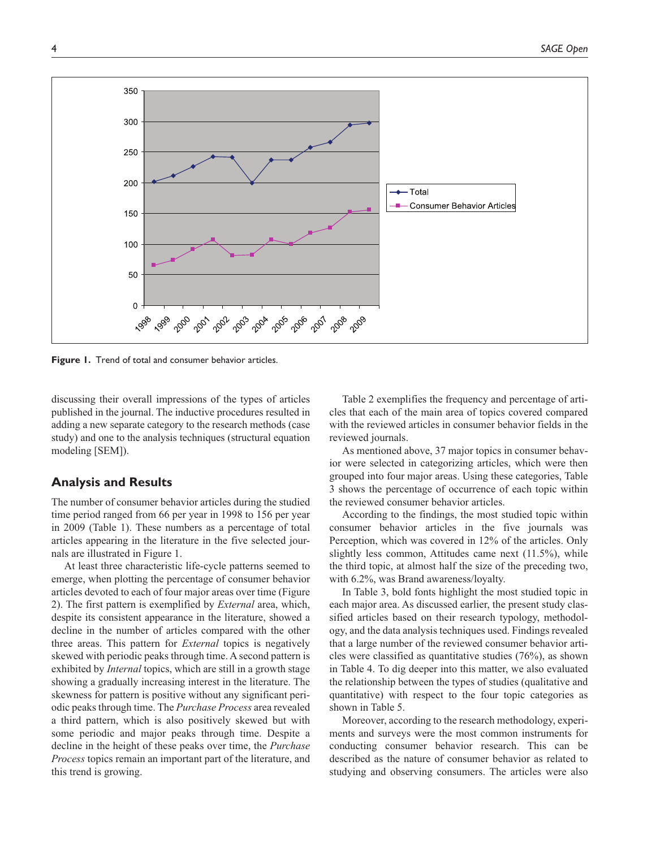

**Figure 1.** Trend of total and consumer behavior articles.

discussing their overall impressions of the types of articles published in the journal. The inductive procedures resulted in adding a new separate category to the research methods (case study) and one to the analysis techniques (structural equation modeling [SEM]).

## **Analysis and Results**

The number of consumer behavior articles during the studied time period ranged from 66 per year in 1998 to 156 per year in 2009 (Table 1). These numbers as a percentage of total articles appearing in the literature in the five selected journals are illustrated in Figure 1.

At least three characteristic life-cycle patterns seemed to emerge, when plotting the percentage of consumer behavior articles devoted to each of four major areas over time (Figure 2). The first pattern is exemplified by *External* area, which, despite its consistent appearance in the literature, showed a decline in the number of articles compared with the other three areas. This pattern for *External* topics is negatively skewed with periodic peaks through time. A second pattern is exhibited by *Internal* topics, which are still in a growth stage showing a gradually increasing interest in the literature. The skewness for pattern is positive without any significant periodic peaks through time. The *Purchase Process* area revealed a third pattern, which is also positively skewed but with some periodic and major peaks through time. Despite a decline in the height of these peaks over time, the *Purchase Process* topics remain an important part of the literature, and this trend is growing.

Table 2 exemplifies the frequency and percentage of articles that each of the main area of topics covered compared with the reviewed articles in consumer behavior fields in the reviewed journals.

As mentioned above, 37 major topics in consumer behavior were selected in categorizing articles, which were then grouped into four major areas. Using these categories, Table 3 shows the percentage of occurrence of each topic within the reviewed consumer behavior articles.

According to the findings, the most studied topic within consumer behavior articles in the five journals was Perception, which was covered in 12% of the articles. Only slightly less common, Attitudes came next (11.5%), while the third topic, at almost half the size of the preceding two, with 6.2%, was Brand awareness/loyalty.

In Table 3, bold fonts highlight the most studied topic in each major area. As discussed earlier, the present study classified articles based on their research typology, methodology, and the data analysis techniques used. Findings revealed that a large number of the reviewed consumer behavior articles were classified as quantitative studies (76%), as shown in Table 4. To dig deeper into this matter, we also evaluated the relationship between the types of studies (qualitative and quantitative) with respect to the four topic categories as shown in Table 5.

Moreover, according to the research methodology, experiments and surveys were the most common instruments for conducting consumer behavior research. This can be described as the nature of consumer behavior as related to studying and observing consumers. The articles were also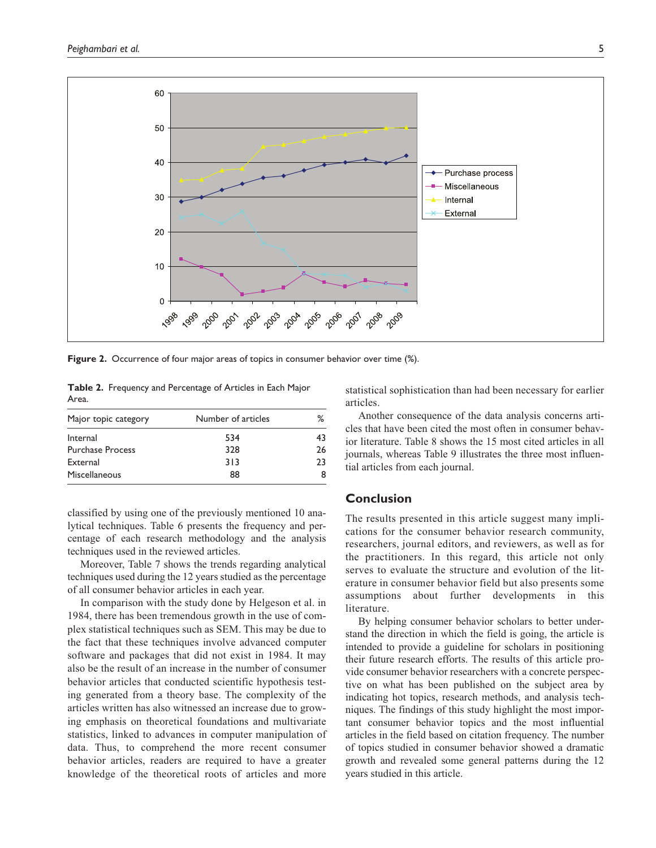

**Figure 2.** Occurrence of four major areas of topics in consumer behavior over time (%).

**Table 2.** Frequency and Percentage of Articles in Each Major Area.

| Major topic category    | Number of articles | ℅  |
|-------------------------|--------------------|----|
| Internal                | 534                | 43 |
| <b>Purchase Process</b> | 328                | 26 |
| External                | 313                | 23 |
| Miscellaneous           | 88                 | 8  |

classified by using one of the previously mentioned 10 analytical techniques. Table 6 presents the frequency and percentage of each research methodology and the analysis techniques used in the reviewed articles.

Moreover, Table 7 shows the trends regarding analytical techniques used during the 12 years studied as the percentage of all consumer behavior articles in each year.

In comparison with the study done by Helgeson et al. in 1984, there has been tremendous growth in the use of complex statistical techniques such as SEM. This may be due to the fact that these techniques involve advanced computer software and packages that did not exist in 1984. It may also be the result of an increase in the number of consumer behavior articles that conducted scientific hypothesis testing generated from a theory base. The complexity of the articles written has also witnessed an increase due to growing emphasis on theoretical foundations and multivariate statistics, linked to advances in computer manipulation of data. Thus, to comprehend the more recent consumer behavior articles, readers are required to have a greater knowledge of the theoretical roots of articles and more statistical sophistication than had been necessary for earlier articles.

Another consequence of the data analysis concerns articles that have been cited the most often in consumer behavior literature. Table 8 shows the 15 most cited articles in all journals, whereas Table 9 illustrates the three most influential articles from each journal.

## **Conclusion**

The results presented in this article suggest many implications for the consumer behavior research community, researchers, journal editors, and reviewers, as well as for the practitioners. In this regard, this article not only serves to evaluate the structure and evolution of the literature in consumer behavior field but also presents some assumptions about further developments in this literature.

By helping consumer behavior scholars to better understand the direction in which the field is going, the article is intended to provide a guideline for scholars in positioning their future research efforts. The results of this article provide consumer behavior researchers with a concrete perspective on what has been published on the subject area by indicating hot topics, research methods, and analysis techniques. The findings of this study highlight the most important consumer behavior topics and the most influential articles in the field based on citation frequency. The number of topics studied in consumer behavior showed a dramatic growth and revealed some general patterns during the 12 years studied in this article.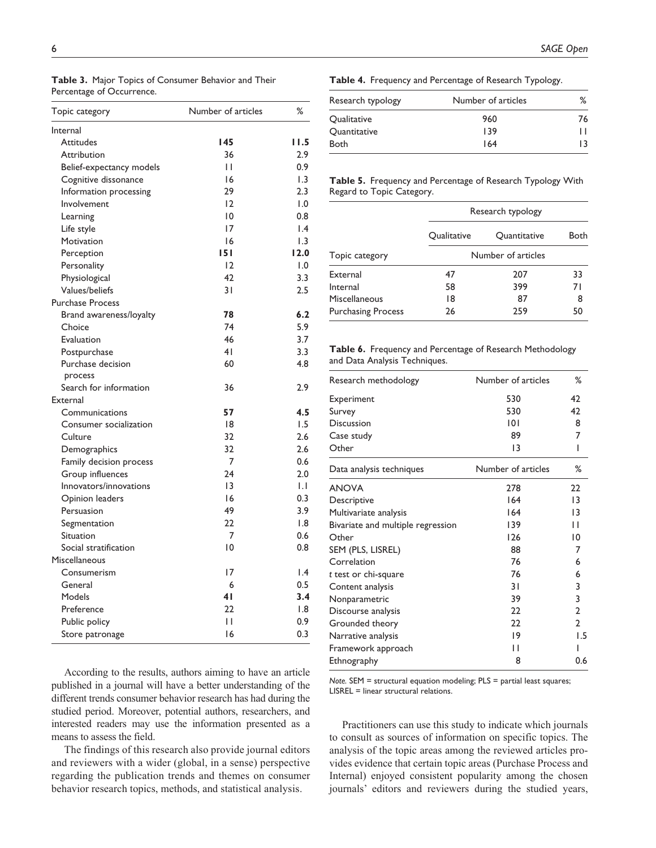| Topic category           | Number of articles | %               |
|--------------------------|--------------------|-----------------|
| Internal                 |                    |                 |
| Attitudes                | 145                | 11.5            |
| Attribution              | 36                 | 2.9             |
| Belief-expectancy models | П                  | 0.9             |
| Cognitive dissonance     | 16                 | 1.3             |
| Information processing   | 29                 | 2.3             |
| Involvement              | 12                 | 1.0             |
| Learning                 | 10                 | 0.8             |
| Life style               | 17                 | $\mathsf{I}$ .4 |
| Motivation               | 16                 | 1.3             |
| Perception               | 151                | 12.0            |
| Personality              | 12                 | 1.0             |
| Physiological            | 42                 | 3.3             |
| Values/beliefs           | 31                 | 2.5             |
| <b>Purchase Process</b>  |                    |                 |
| Brand awareness/loyalty  | 78                 | 6.2             |
| Choice                   | 74                 | 5.9             |
| Evaluation               | 46                 | 3.7             |
| Postpurchase             | 41                 | 3.3             |
| Purchase decision        | 60                 | 4.8             |
| process                  |                    |                 |
| Search for information   | 36                 | 2.9             |
| External                 |                    |                 |
| Communications           | 57                 | 4.5             |
| Consumer socialization   | 18                 | 1.5             |
| Culture                  | 32                 | 2.6             |
| Demographics             | 32                 | 2.6             |
| Family decision process  | 7                  | 0.6             |
| Group influences         | 24                 | 2.0             |
| Innovators/innovations   | 13                 | $\mathsf{L}$    |
| Opinion leaders          | 16                 | 0.3             |
| Persuasion               | 49                 | 3.9             |
| Segmentation             | 22                 | 1.8             |
| Situation                | 7                  | 0.6             |
| Social stratification    | $\overline{0}$     | 0.8             |
| <b>Miscellaneous</b>     |                    |                 |
| Consumerism              | 17                 | $\mathsf{I}$ .4 |
| General                  | 6                  | 0.5             |
| Models                   | 41                 | 3.4             |
| Preference               | 22                 | 1.8             |
| Public policy            | П                  | 0.9             |
| Store patronage          | 16                 | 0.3             |

**Table 3.** Major Topics of Consumer Behavior and Their Percentage of Occurrence.

**Table 4.** Frequency and Percentage of Research Typology.

| Research typology | Number of articles | ℅  |
|-------------------|--------------------|----|
| Qualitative       | 960                | 76 |
| Quantitative      | 139                | Ħ  |
| <b>Both</b>       | 164                | 13 |

**Table 5.** Frequency and Percentage of Research Typology With Regard to Topic Category.

|                           |                    | Research typology |      |
|---------------------------|--------------------|-------------------|------|
|                           | Qualitative        | Quantitative      | Both |
| Topic category            | Number of articles |                   |      |
| External                  | 47                 | 207               | 33   |
| Internal                  | 58                 | 399               | 71   |
| Miscellaneous             | 18                 | 87                | 8    |
| <b>Purchasing Process</b> | 26                 | 259               | 50   |

**Table 6.** Frequency and Percentage of Research Methodology and Data Analysis Techniques.

| Research methodology              | Number of articles | %               |
|-----------------------------------|--------------------|-----------------|
| Experiment                        | 530                | 42              |
| Survey                            | 530                | 42              |
| <b>Discussion</b>                 | 101                | 8               |
| Case study                        | 89                 | 7               |
| Other                             | 13                 | I               |
| Data analysis techniques          | Number of articles | ℅               |
| <b>ANOVA</b>                      | 278                | 22              |
| Descriptive                       | 164                | $\overline{13}$ |
| Multivariate analysis             | 164                | $\overline{13}$ |
| Bivariate and multiple regression | 139                | Н               |
| Other                             | 126                | 10              |
| SEM (PLS, LISREL)                 | 88                 | 7               |
| Correlation                       | 76                 | 6               |
| t test or chi-square              | 76                 | 6               |
| Content analysis                  | $\overline{3}1$    | 3               |
| Nonparametric                     | 39                 | 3               |
| Discourse analysis                | 22                 | 2               |
| Grounded theory                   | 22                 | $\overline{2}$  |
| Narrative analysis                | 19                 | 1.5             |
| Framework approach                | Н                  |                 |
| Ethnography                       | 8                  | 0.6             |

According to the results, authors aiming to have an article published in a journal will have a better understanding of the different trends consumer behavior research has had during the studied period. Moreover, potential authors, researchers, and interested readers may use the information presented as a means to assess the field.

The findings of this research also provide journal editors and reviewers with a wider (global, in a sense) perspective regarding the publication trends and themes on consumer behavior research topics, methods, and statistical analysis.

*Note.* SEM = structural equation modeling; PLS = partial least squares; LISREL = linear structural relations.

Practitioners can use this study to indicate which journals to consult as sources of information on specific topics. The analysis of the topic areas among the reviewed articles provides evidence that certain topic areas (Purchase Process and Internal) enjoyed consistent popularity among the chosen journals' editors and reviewers during the studied years,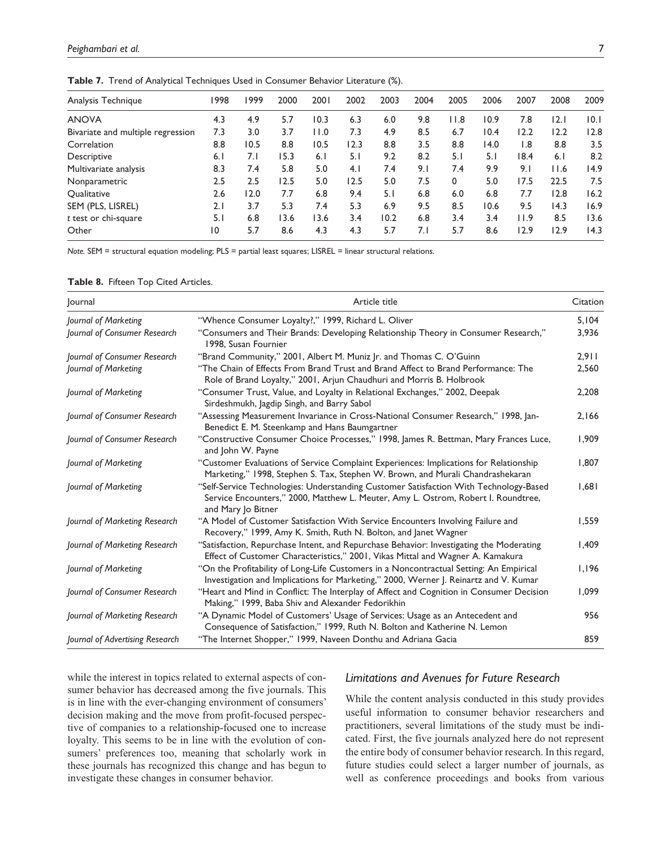| Analysis Technique                | 1998           | 1999 | 2000 | 2001             | 2002 | 2003 | 2004 | 2005 | 2006 | 2007 | 2008 | 2009 |
|-----------------------------------|----------------|------|------|------------------|------|------|------|------|------|------|------|------|
| <b>ANOVA</b>                      | 4.3            | 4.9  | 5.7  | 10.3             | 6.3  | 6.0  | 9.8  | 11.8 | 10.9 | 7.8  | 12.I | 10.1 |
| Bivariate and multiple regression | 7.3            | 3.0  | 3.7  | $\overline{1.0}$ | 7.3  | 4.9  | 8.5  | 6.7  | 10.4 | 12.2 | 12.2 | 12.8 |
| Correlation                       | 8.8            | 10.5 | 8.8  | 10.5             | 12.3 | 8.8  | 3.5  | 8.8  | 14.0 | 1.8  | 8.8  | 3.5  |
| Descriptive                       | 6.1            | 7.1  | 15.3 | 6.1              | 5.1  | 9.2  | 8.2  | 5. I | 5.1  | 18.4 | 6.1  | 8.2  |
| Multivariate analysis             | 8.3            | 7.4  | 5.8  | 5.0              | 4.1  | 7.4  | 9.1  | 7.4  | 9.9  | 9.1  | 11.6 | 14.9 |
| Nonparametric                     | 2.5            | 2.5  | 12.5 | 5.0              | 12.5 | 5.0  | 7.5  | 0    | 5.0  | 17.5 | 22.5 | 7.5  |
| <b>Oualitative</b>                | 2.6            | 12.0 | 7.7  | 6.8              | 9.4  | 5.1  | 6.8  | 6.0  | 6.8  | 7.7  | 12.8 | 16.2 |
| SEM (PLS, LISREL)                 | 2.1            | 3.7  | 5.3  | 7.4              | 5.3  | 6.9  | 9.5  | 8.5  | 10.6 | 9.5  | 14.3 | 16.9 |
| t test or chi-square              | 5.1            | 6.8  | 13.6 | 3.6              | 3.4  | 10.2 | 6.8  | 3.4  | 3.4  | 11.9 | 8.5  | 13.6 |
| Other                             | $\overline{0}$ | 5.7  | 8.6  | 4.3              | 4.3  | 5.7  | 7.1  | 5.7  | 8.6  | 12.9 | 12.9 | 14.3 |
|                                   |                |      |      |                  |      |      |      |      |      |      |      |      |

**Table 7.** Trend of Analytical Techniques Used in Consumer Behavior Literature (%).

*Note.* SEM = structural equation modeling; PLS = partial least squares; LISREL = linear structural relations.

|  |  | Table 8. Fifteen Top Cited Articles. |  |
|--|--|--------------------------------------|--|
|--|--|--------------------------------------|--|

| Journal                         | Article title                                                                                                                                                                                    | Citation |
|---------------------------------|--------------------------------------------------------------------------------------------------------------------------------------------------------------------------------------------------|----------|
| Journal of Marketing            | "Whence Consumer Loyalty?," 1999, Richard L. Oliver                                                                                                                                              | 5,104    |
| Journal of Consumer Research    | "Consumers and Their Brands: Developing Relationship Theory in Consumer Research,"<br>1998, Susan Fournier                                                                                       | 3,936    |
| Journal of Consumer Research    | "Brand Community," 2001, Albert M. Muniz Jr. and Thomas C. O'Guinn                                                                                                                               | 2,911    |
| Journal of Marketing            | "The Chain of Effects From Brand Trust and Brand Affect to Brand Performance: The<br>Role of Brand Loyalty," 2001, Arjun Chaudhuri and Morris B. Holbrook                                        | 2,560    |
| Journal of Marketing            | "Consumer Trust, Value, and Loyalty in Relational Exchanges," 2002, Deepak<br>Sirdeshmukh, Jagdip Singh, and Barry Sabol                                                                         | 2,208    |
| Journal of Consumer Research    | "Assessing Measurement Invariance in Cross-National Consumer Research," 1998, Jan-<br>Benedict E. M. Steenkamp and Hans Baumgartner                                                              | 2,166    |
| Journal of Consumer Research    | "Constructive Consumer Choice Processes," 1998, James R. Bettman, Mary Frances Luce,<br>and John W. Payne                                                                                        | 1,909    |
| Journal of Marketing            | "Customer Evaluations of Service Complaint Experiences: Implications for Relationship<br>Marketing," 1998, Stephen S. Tax, Stephen W. Brown, and Murali Chandrashekaran                          | 1,807    |
| Journal of Marketing            | "Self-Service Technologies: Understanding Customer Satisfaction With Technology-Based<br>Service Encounters," 2000, Matthew L. Meuter, Amy L. Ostrom, Robert I. Roundtree,<br>and Mary Jo Bitner | 1.681    |
| Journal of Marketing Research   | "A Model of Customer Satisfaction With Service Encounters Involving Failure and<br>Recovery," 1999, Amy K. Smith, Ruth N. Bolton, and Janet Wagner                                               | 1,559    |
| Journal of Marketing Research   | "Satisfaction, Repurchase Intent, and Repurchase Behavior: Investigating the Moderating<br>Effect of Customer Characteristics," 2001, Vikas Mittal and Wagner A. Kamakura                        | 1,409    |
| Journal of Marketing            | "On the Profitability of Long-Life Customers in a Noncontractual Setting: An Empirical<br>Investigation and Implications for Marketing," 2000, Werner J. Reinartz and V. Kumar                   | 1,196    |
| Journal of Consumer Research    | "Heart and Mind in Conflict: The Interplay of Affect and Cognition in Consumer Decision<br>Making," 1999, Baba Shiv and Alexander Fedorikhin                                                     | 1,099    |
| Journal of Marketing Research   | "A Dynamic Model of Customers' Usage of Services: Usage as an Antecedent and<br>Consequence of Satisfaction," 1999, Ruth N. Bolton and Katherine N. Lemon                                        | 956      |
| Journal of Advertising Research | "The Internet Shopper," 1999, Naveen Donthu and Adriana Gacia                                                                                                                                    | 859      |

while the interest in topics related to external aspects of consumer behavior has decreased among the five journals. This is in line with the ever-changing environment of consumers' decision making and the move from profit-focused perspective of companies to a relationship-focused one to increase loyalty. This seems to be in line with the evolution of consumers' preferences too, meaning that scholarly work in these journals has recognized this change and has begun to investigate these changes in consumer behavior.

## *Limitations and Avenues for Future Research*

While the content analysis conducted in this study provides useful information to consumer behavior researchers and practitioners, several limitations of the study must be indicated. First, the five journals analyzed here do not represent the entire body of consumer behavior research. In this regard, future studies could select a larger number of journals, as well as conference proceedings and books from various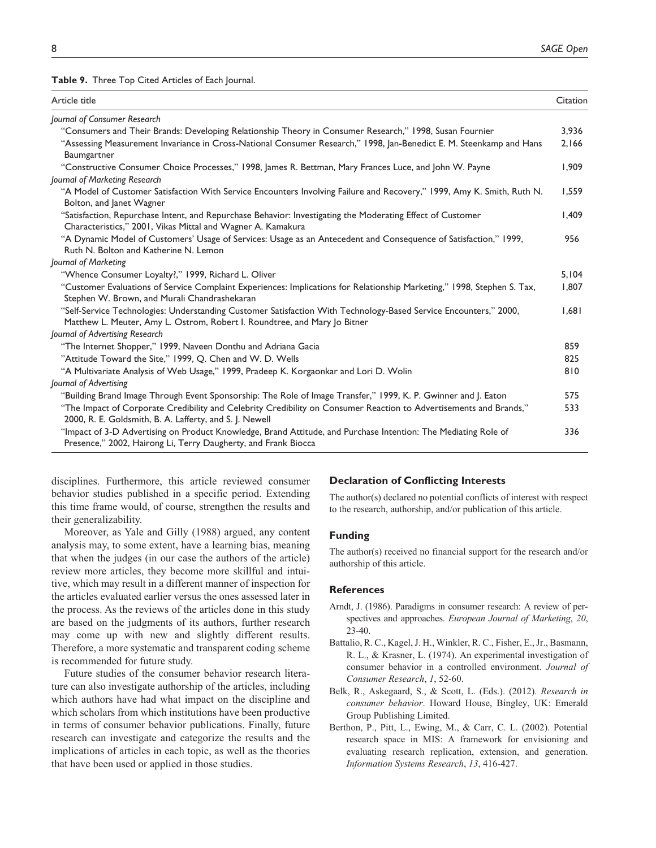**Table 9.** Three Top Cited Articles of Each Journal.

| Article title                                                                                                                                                                                 | Citation |
|-----------------------------------------------------------------------------------------------------------------------------------------------------------------------------------------------|----------|
| Journal of Consumer Research                                                                                                                                                                  |          |
| "Consumers and Their Brands: Developing Relationship Theory in Consumer Research," 1998, Susan Fournier                                                                                       | 3,936    |
| "Assessing Measurement Invariance in Cross-National Consumer Research," 1998, Jan-Benedict E. M. Steenkamp and Hans<br>Baumgartner                                                            | 2,166    |
| "Constructive Consumer Choice Processes," 1998, James R. Bettman, Mary Frances Luce, and John W. Payne                                                                                        | 1,909    |
| Journal of Marketing Research                                                                                                                                                                 |          |
| "A Model of Customer Satisfaction With Service Encounters Involving Failure and Recovery," 1999, Amy K. Smith, Ruth N.<br>Bolton, and Janet Wagner                                            | 1,559    |
| "Satisfaction, Repurchase Intent, and Repurchase Behavior: Investigating the Moderating Effect of Customer<br>Characteristics," 2001, Vikas Mittal and Wagner A. Kamakura                     | 1,409    |
| "A Dynamic Model of Customers' Usage of Services: Usage as an Antecedent and Consequence of Satisfaction," 1999,<br>Ruth N. Bolton and Katherine N. Lemon                                     | 956      |
| Journal of Marketing                                                                                                                                                                          |          |
| "Whence Consumer Loyalty?," 1999, Richard L. Oliver                                                                                                                                           | 5,104    |
| "Customer Evaluations of Service Complaint Experiences: Implications for Relationship Marketing," 1998, Stephen S. Tax,<br>Stephen W. Brown, and Murali Chandrashekaran                       | 1,807    |
| "Self-Service Technologies: Understanding Customer Satisfaction With Technology-Based Service Encounters," 2000,<br>Matthew L. Meuter, Amy L. Ostrom, Robert I. Roundtree, and Mary Jo Bitner | 1,681    |
| Journal of Advertising Research                                                                                                                                                               |          |
| "The Internet Shopper," 1999, Naveen Donthu and Adriana Gacia                                                                                                                                 | 859      |
| "Attitude Toward the Site," 1999, Q. Chen and W. D. Wells                                                                                                                                     | 825      |
| "A Multivariate Analysis of Web Usage," 1999, Pradeep K. Korgaonkar and Lori D. Wolin                                                                                                         | 810      |
| Journal of Advertising                                                                                                                                                                        |          |
| "Building Brand Image Through Event Sponsorship: The Role of Image Transfer," 1999, K. P. Gwinner and J. Eaton                                                                                | 575      |
| "The Impact of Corporate Credibility and Celebrity Credibility on Consumer Reaction to Advertisements and Brands,"<br>2000, R. E. Goldsmith, B. A. Lafferty, and S. J. Newell                 | 533      |
| "Impact of 3-D Advertising on Product Knowledge, Brand Attitude, and Purchase Intention: The Mediating Role of<br>Presence," 2002, Hairong Li, Terry Daugherty, and Frank Biocca              | 336      |

disciplines. Furthermore, this article reviewed consumer behavior studies published in a specific period. Extending this time frame would, of course, strengthen the results and their generalizability.

Moreover, as Yale and Gilly (1988) argued, any content analysis may, to some extent, have a learning bias, meaning that when the judges (in our case the authors of the article) review more articles, they become more skillful and intuitive, which may result in a different manner of inspection for the articles evaluated earlier versus the ones assessed later in the process. As the reviews of the articles done in this study are based on the judgments of its authors, further research may come up with new and slightly different results. Therefore, a more systematic and transparent coding scheme is recommended for future study.

Future studies of the consumer behavior research literature can also investigate authorship of the articles, including which authors have had what impact on the discipline and which scholars from which institutions have been productive in terms of consumer behavior publications. Finally, future research can investigate and categorize the results and the implications of articles in each topic, as well as the theories that have been used or applied in those studies.

#### **Declaration of Conflicting Interests**

The author(s) declared no potential conflicts of interest with respect to the research, authorship, and/or publication of this article.

#### **Funding**

The author(s) received no financial support for the research and/or authorship of this article.

#### **References**

- Arndt, J. (1986). Paradigms in consumer research: A review of perspectives and approaches. *European Journal of Marketing*, *20*, 23-40.
- Battalio, R. C., Kagel, J. H., Winkler, R. C., Fisher, E., Jr., Basmann, R. L., & Krasner, L. (1974). An experimental investigation of consumer behavior in a controlled environment. *Journal of Consumer Research*, *1*, 52-60.
- Belk, R., Askegaard, S., & Scott, L. (Eds.). (2012). *Research in consumer behavior*. Howard House, Bingley, UK: Emerald Group Publishing Limited.
- Berthon, P., Pitt, L., Ewing, M., & Carr, C. L. (2002). Potential research space in MIS: A framework for envisioning and evaluating research replication, extension, and generation. *Information Systems Research*, *13*, 416-427.